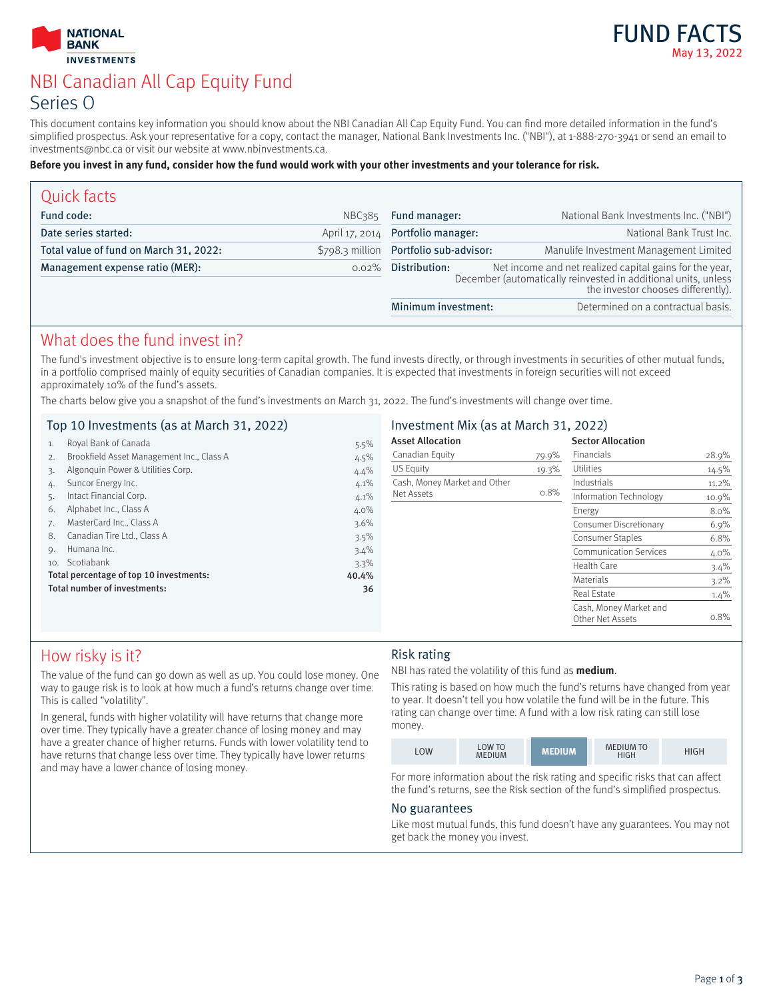



# NBI Canadian All Cap Equity Fund Series O

This document contains key information you should know about the NBI Canadian All Cap Equity Fund. You can find more detailed information in the fund's simplified prospectus. Ask your representative for a copy, contact the manager, National Bank Investments Inc. ("NBI"), at 1-888-270-3941 or send an email to investments@nbc.ca or visit our website at www.nbinvestments.ca.

#### **Before you invest in any fund, consider how the fund would work with your other investments and your tolerance for risk.**

| Quick facts                            |                |                                                                                                                                                                                  |                                        |
|----------------------------------------|----------------|----------------------------------------------------------------------------------------------------------------------------------------------------------------------------------|----------------------------------------|
| Fund code:                             | NBC385         | Fund manager:                                                                                                                                                                    | National Bank Investments Inc. ("NBI") |
| Date series started:                   | April 17, 2014 | Portfolio manager:                                                                                                                                                               | National Bank Trust Inc.               |
| Total value of fund on March 31, 2022: |                | \$798.3 million Portfolio sub-advisor:                                                                                                                                           | Manulife Investment Management Limited |
| Management expense ratio (MER):        | $0.02\%$       | Net income and net realized capital gains for the year,<br>December (automatically reinvested in additional units, unless<br>Distribution:<br>the investor chooses differently). |                                        |
|                                        |                | Minimum investment:                                                                                                                                                              | Determined on a contractual basis.     |

### What does the fund invest in?

The fund's investment objective is to ensure long-term capital growth. The fund invests directly, or through investments in securities of other mutual funds, in a portfolio comprised mainly of equity securities of Canadian companies. It is expected that investments in foreign securities will not exceed approximately 10% of the fund's assets.

The charts below give you a snapshot of the fund's investments on March 31, 2022. The fund's investments will change over time.

#### Top 10 Investments (as at March 31, 2022)

| 1.  | Royal Bank of Canada                      | 5.5%  |
|-----|-------------------------------------------|-------|
| 2.  | Brookfield Asset Management Inc., Class A | 4.5%  |
| 3.  | Algonquin Power & Utilities Corp.         | 4.4%  |
| 4.  | Suncor Energy Inc.                        | 4.1%  |
| 5.  | Intact Financial Corp.                    | 4.1%  |
| 6.  | Alphabet Inc., Class A                    | 4.0%  |
| 7.  | MasterCard Inc., Class A                  | 3.6%  |
| 8.  | Canadian Tire Ltd., Class A               | 3.5%  |
| 9.  | Humana Inc.                               | 3.4%  |
| 10. | Scotiabank                                | 3.3%  |
|     | Total percentage of top 10 investments:   | 40.4% |
|     | Total number of investments:              | 36    |
|     |                                           |       |

### Investment Mix (as at March 31, 2022)

| <b>Asset Allocation</b>      |       | <b>Sector Allocation</b>                   |          |
|------------------------------|-------|--------------------------------------------|----------|
| Canadian Equity              | 79.9% | Financials                                 | 28.9%    |
| US Equity                    | 19.3% | Utilities                                  | $14.5\%$ |
| Cash, Money Market and Other |       | Industrials                                | 11.2%    |
| Net Assets                   | 0.8%  | Information Technology                     | 10.9%    |
|                              |       | Energy                                     | 8.0%     |
|                              |       | Consumer Discretionary                     | 6.9%     |
|                              |       | Consumer Staples                           | 6.8%     |
|                              |       | <b>Communication Services</b>              | $4.0\%$  |
|                              |       | Health Care                                | 3.4%     |
|                              |       | Materials                                  | $3.2\%$  |
|                              |       | <b>Real Estate</b>                         | 1.4%     |
|                              |       | Cash, Money Market and<br>Other Net Assets | 0.8%     |

## How risky is it?

The value of the fund can go down as well as up. You could lose money. One way to gauge risk is to look at how much a fund's returns change over time. This is called "volatility".

In general, funds with higher volatility will have returns that change more over time. They typically have a greater chance of losing money and may have a greater chance of higher returns. Funds with lower volatility tend to have returns that change less over time. They typically have lower returns and may have a lower chance of losing money.

#### Risk rating

NBI has rated the volatility of this fund as **medium**.

This rating is based on how much the fund's returns have changed from year to year. It doesn't tell you how volatile the fund will be in the future. This rating can change over time. A fund with a low risk rating can still lose money.

|  | OW | LOW TO<br><b>MEDIUM</b> | <b>AEDIUM</b> | <b>MEDIUM TO</b><br>HIGH | HIGH |
|--|----|-------------------------|---------------|--------------------------|------|
|--|----|-------------------------|---------------|--------------------------|------|

For more information about the risk rating and specific risks that can affect the fund's returns, see the Risk section of the fund's simplified prospectus.

#### No guarantees

Like most mutual funds, this fund doesn't have any guarantees. You may not get back the money you invest.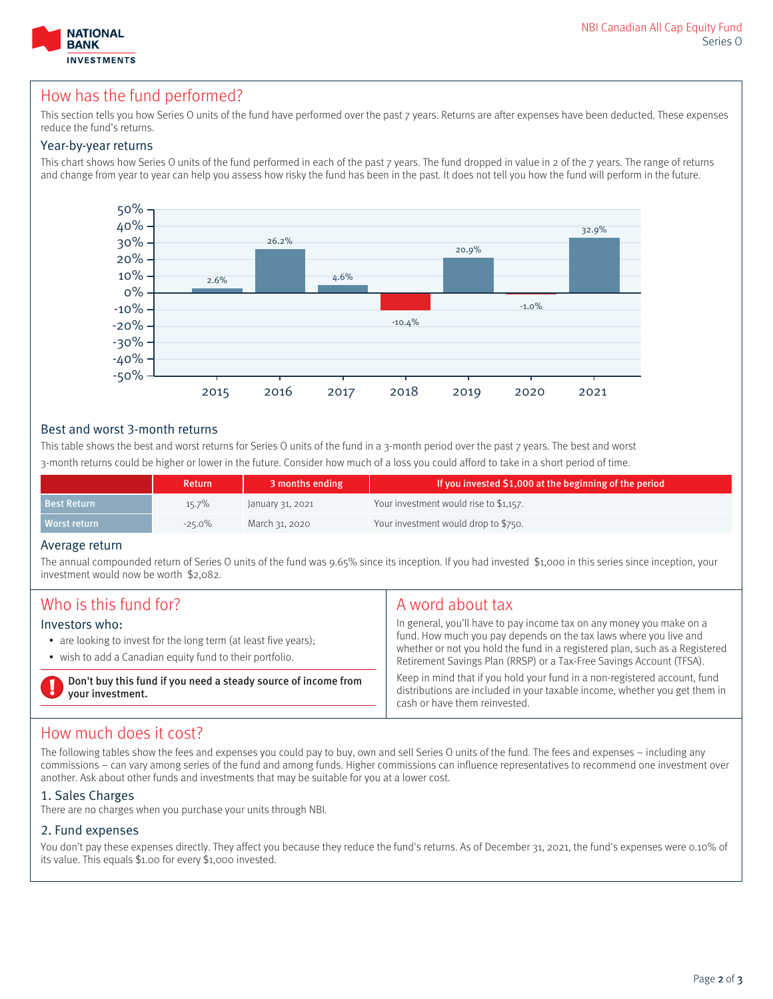

## How has the fund performed?

This section tells vou how Series O units of the fund have performed over the past 7 years. Returns are after expenses have been deducted. These expenses reduce the fund's returns.

#### Year-by-year returns

This chart shows how Series O units of the fund performed in each of the past 7 years. The fund dropped in value in 2 of the 7 years. The range of returns and change from year to year can help you assess how risky the fund has been in the past. It does not tell you how the fund will perform in the future.



#### Best and worst 3-month returns

This table shows the best and worst returns for Series O units of the fund in a 3-month period over the past 7 years. The best and worst 3-month returns could be higher or lower in the future. Consider how much of a loss you could afford to take in a short period of time.

|                    | Return    | 3 months ending  | If you invested \$1,000 at the beginning of the period |
|--------------------|-----------|------------------|--------------------------------------------------------|
| <b>Best Return</b> | $15.7\%$  | January 31, 2021 | Your investment would rise to \$1,157.                 |
| Worst return       | $-25.0\%$ | March 31, 2020   | Your investment would drop to \$750.                   |

#### Average return

The annual compounded return of Series O units of the fund was 9.65% since its inception. If you had invested \$1,000 in this series since inception, your investment would now be worth \$2,082.

| Who is this fund for?                                                                                                                          | A word about tax                                                                                                                                                                                                                                                                                 |
|------------------------------------------------------------------------------------------------------------------------------------------------|--------------------------------------------------------------------------------------------------------------------------------------------------------------------------------------------------------------------------------------------------------------------------------------------------|
| Investors who:<br>• are looking to invest for the long term (at least five years);<br>• wish to add a Canadian equity fund to their portfolio. | In general, you'll have to pay income tax on any money you make on a<br>fund. How much you pay depends on the tax laws where you live and<br>whether or not you hold the fund in a registered plan, such as a Registered<br>Retirement Savings Plan (RRSP) or a Tax-Free Savings Account (TFSA). |
| Don't buy this fund if you need a steady source of income from<br>your investment.                                                             | Keep in mind that if you hold your fund in a non-registered account, fund<br>distributions are included in your taxable income, whether you get them in<br>cash or have them reinvested.                                                                                                         |

### How much does it cost?

The following tables show the fees and expenses you could pay to buy, own and sell Series O units of the fund. The fees and expenses – including any commissions – can vary among series of the fund and among funds. Higher commissions can influence representatives to recommend one investment over another. Ask about other funds and investments that may be suitable for you at a lower cost.

#### 1. Sales Charges

There are no charges when you purchase your units through NBI.

#### 2. Fund expenses

You don't pay these expenses directly. They affect you because they reduce the fund's returns. As of December 31, 2021, the fund's expenses were 0.10% of its value. This equals \$1.00 for every \$1,000 invested.